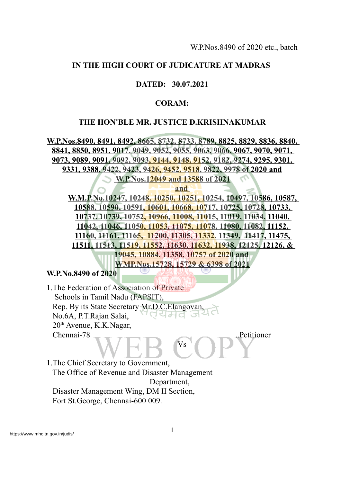#### **IN THE HIGH COURT OF JUDICATURE AT MADRAS**

#### **DATED: 30.07.2021**

#### **CORAM:**

#### **THE HON'BLE MR. JUSTICE D.KRISHNAKUMAR**

**W.P.Nos.8490, 8491, 8492, 8665, 8732, 8733, 8789, 8825, 8829, 8836, 8840, 8841, 8850, 8951, 9017, 9049, 9052, 9055, 9063, 9066, 9067, 9070, 9071, 9073, 9089, 9091, 9092, 9093, 9144, 9148, 9152, 9182, 9274, 9295, 9301, 9331, 9388, 9422, 9423, 9426, 9452, 9518, 9822, 9978 of 2020 and W.P.Nos.12049 and 13588 of 2021**

**and**

**W.M.P.No.10247, 10248, 10250, 10251, 10254, 10497, 10586, 10587, 10588, 10590, 10591, 10601, 10668, 10717, 10725, 10728, 10733, 10737, 10739, 10752, 10966, 11008, 11015, 11019, 11034, 11040, 11042, 11046, 11050, 11053, 11075, 11078, 11080, 11082, 11152, 11160, 11161, 11165, 11200, 11305, 11332, 11349, 11417, 11475, 11511, 11513, 11519, 11552, 11630, 11632, 11938, 12125, 12126, & 19045, 10884, 11358, 10757 of 2020 and WMP.Nos.15728, 15729 & 6398 of 2021**

**W.P.No.8490 of 2020**

1.The Federation of Association of Private Schools in Tamil Nadu (FAPSIT), Rep. By its State Secretary Mr.D.C.Elangovan, ਾਰਪਮਰ No.6A, P.T.Rajan Salai, ು 20<sup>th</sup> Avenue, K.K.Nagar, Chennai-78 ..Petitioner Vs

1.The Chief Secretary to Government, The Office of Revenue and Disaster Management Department, Disaster Management Wing, DM II Section, Fort St.George, Chennai-600 009.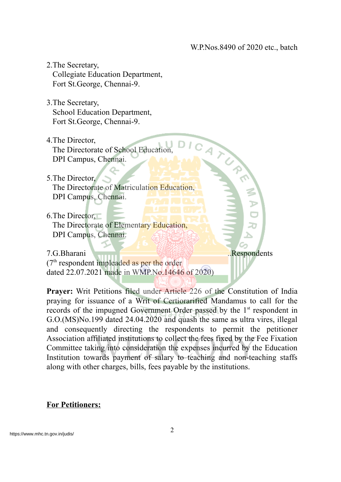- 2.The Secretary, Collegiate Education Department, Fort St.George, Chennai-9.
- 3.The Secretary, School Education Department, Fort St.George, Chennai-9.
- 4.The Director, The Directorate of School Education, DPI Campus, Chennai.
- 5.The Director,
	- The Directorate of Matriculation Education, DPI Campus, Chennai.
- 6.The Director, The Directorate of Elementary Education, DPI Campus, Chennai.

7.G.Bharani ..Respondents (7<sup>th</sup> respondent impleaded as per the order dated 22.07.2021 made in WMP.No.14646 of 2020)

**Prayer:** Writ Petitions filed under Article 226 of the Constitution of India praying for issuance of a Writ of Certiorarified Mandamus to call for the records of the impugned Government Order passed by the 1<sup>st</sup> respondent in G.O.(MS)No.199 dated 24.04.2020 and quash the same as ultra vires, illegal and consequently directing the respondents to permit the petitioner Association affiliated institutions to collect the fees fixed by the Fee Fixation Committee taking into consideration the expenses incurred by the Education Institution towards payment of salary to teaching and non-teaching staffs along with other charges, bills, fees payable by the institutions.

### **For Petitioners:**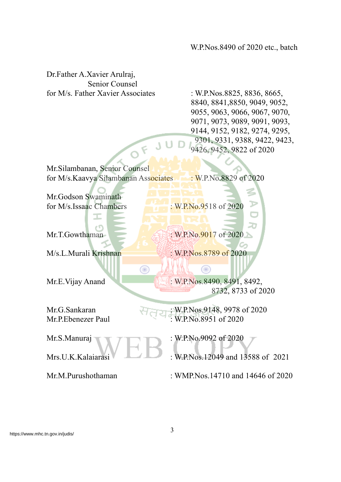Dr.Father A.Xavier Arulraj, Senior Counsel for M/s. Father Xavier Associates : W.P.Nos.8825, 8836, 8665,

8840, 8841,8850, 9049, 9052, 9055, 9063, 9066, 9067, 9070, 9071, 9073, 9089, 9091, 9093, 9144, 9152, 9182, 9274, 9295, 9301, 9331, 9388, 9422, 9423, 9426, 9452, 9822 of 2020

Mr.Silambanan, Senior Counsel for M/s.Kaavya Silambanan Associates : W.P.No.8829 of 2020

JU

Œ

Mr.Godson Swaminath for M/s.Issaac Chambers : W.P.No.9518 of 2020

T

Mr.T.Gowthaman : W.P.No.9017 of 2020

M/s.L.Murali Krishnan : W.P.Nos.8789 of 2020

O

Mr.E. Vijay Anand : W.P.Nos. 8490, 8491, 8492, 8732, 8733 of 2020

Mr.G.Sankaran : W.P.Nos.9148, 9978 of 2020 Mr.P.Ebenezer Paul : W.P.No.8951 of 2020

Mr.S.Manuraj **1989** : W.P.No.9092 of 2020

Mrs.U.K.Kalaiarasi : W.P.Nos.12049 and 13588 of 2021

Mr.M.Purushothaman : WMP.Nos.14710 and 14646 of 2020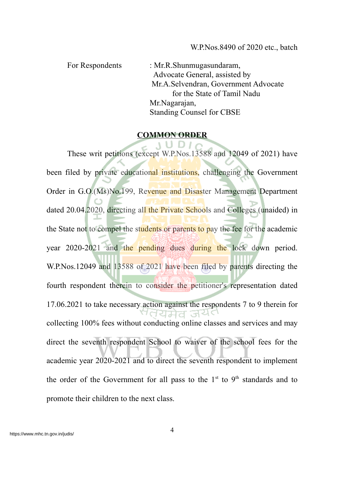For Respondents : Mr.R.Shunmugasundaram, Advocate General, assisted by Mr.A.Selvendran, Government Advocate for the State of Tamil Nadu Mr.Nagarajan, Standing Counsel for CBSE

#### **COMMON ORDER**

 $UDIA$ 

These writ petitions (except W.P.Nos.13588 and 12049 of 2021) have been filed by private educational institutions, challenging the Government Order in G.O.(Ms)No.199, Revenue and Disaster Management Department dated 20.04.2020, directing all the Private Schools and Colleges (unaided) in the State not to compel the students or parents to pay the fee for the academic year 2020-2021 and the pending dues during the lock down period. W.P.Nos.12049 and 13588 of 2021 have been filed by parents directing the fourth respondent therein to consider the petitioner's representation dated 17.06.2021 to take necessary action against the respondents 7 to 9 therein for ਰਧਸੇਰ ਕਪੋ collecting 100% fees without conducting online classes and services and may direct the seventh respondent School to waiver of the school fees for the academic year 2020-2021 and to direct the seventh respondent to implement the order of the Government for all pass to the  $1<sup>st</sup>$  to  $9<sup>th</sup>$  standards and to promote their children to the next class.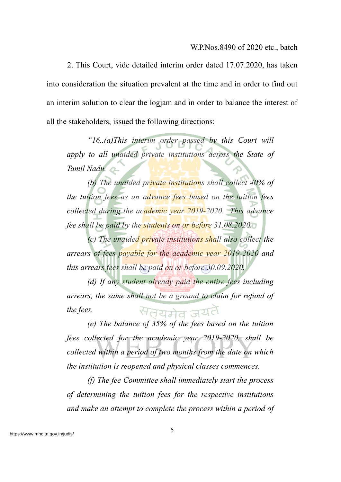2. This Court, vide detailed interim order dated 17.07.2020, has taken into consideration the situation prevalent at the time and in order to find out an interim solution to clear the logjam and in order to balance the interest of all the stakeholders, issued the following directions:

*"16..(a)This interim order passed by this Court will apply to all unaided private institutions across the State of Tamil Nadu.*

*(b) The unaided private institutions shall collect 40% of the tuition fees as an advance fees based on the tuition fees collected during the academic year 2019-2020. This advance fee shall be paid by the students on or before 31.08.2020.*

*(c) The unaided private institutions shall also collect the arrears of fees payable for the academic year 2019-2020 and this arrears fees shall be paid on or before 30.09.2020.*

*(d) If any student already paid the entire fees including arrears, the same shall not be a ground to claim for refund of* सतयमेव जयतै *the fees.*

*(e) The balance of 35% of the fees based on the tuition fees collected for the academic year 2019-2020, shall be collected within a period of two months from the date on which the institution is reopened and physical classes commences.*

*(f) The fee Committee shall immediately start the process of determining the tuition fees for the respective institutions and make an attempt to complete the process within a period of*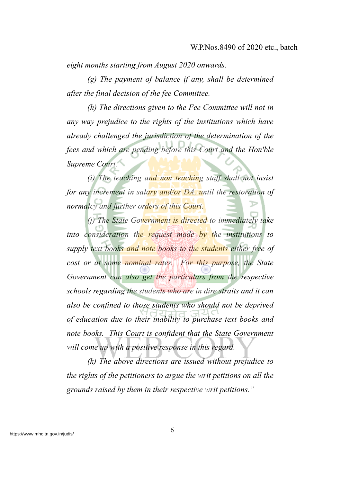*eight months starting from August 2020 onwards.*

*(g) The payment of balance if any, shall be determined after the final decision of the fee Committee.*

*(h) The directions given to the Fee Committee will not in any way prejudice to the rights of the institutions which have already challenged the jurisdiction of the determination of the fees and which are pending before this Court and the Hon'ble Supreme Court.*

*(i) The teaching and non teaching staff shall not insist for any increment in salary and/or DA, until the restoration of normalcy and further orders of this Court.*

*(j) The State Government is directed to immediately take into consideration the request made by the institutions to supply text books and note books to the students either free of cost or at some nominal rates. For this purpose, the State Government can also get the particulars from the respective schools regarding the students who are in dire straits and it can also be confined to those students who should not be deprived of education due to their inability to purchase text books and note books. This Court is confident that the State Government will come up with a positive response in this regard.*

*(k) The above directions are issued without prejudice to the rights of the petitioners to argue the writ petitions on all the grounds raised by them in their respective writ petitions."*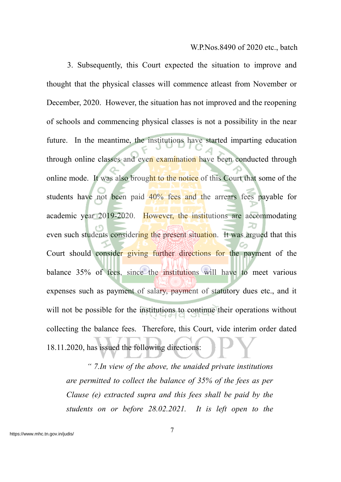3. Subsequently, this Court expected the situation to improve and thought that the physical classes will commence atleast from November or December, 2020. However, the situation has not improved and the reopening of schools and commencing physical classes is not a possibility in the near future. In the meantime, the institutions have started imparting education through online classes and even examination have been conducted through online mode. It was also brought to the notice of this Court that some of the students have not been paid 40% fees and the arrears fees payable for academic year 2019-2020. However, the institutions are accommodating even such students considering the present situation. It was argued that this Court should consider giving further directions for the payment of the balance 35% of fees, since the institutions will have to meet various expenses such as payment of salary, payment of statutory dues etc., and it will not be possible for the institutions to continue their operations without collecting the balance fees. Therefore, this Court, vide interim order dated 18.11.2020, has issued the following directions:

*" 7.In view of the above, the unaided private institutions are permitted to collect the balance of 35% of the fees as per Clause (e) extracted supra and this fees shall be paid by the students on or before 28.02.2021. It is left open to the*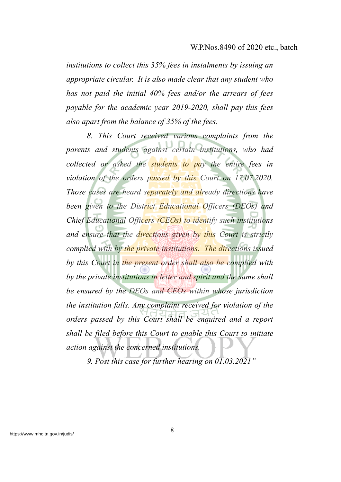*institutions to collect this 35% fees in instalments by issuing an appropriate circular. It is also made clear that any student who has not paid the initial 40% fees and/or the arrears of fees payable for the academic year 2019-2020, shall pay this fees also apart from the balance of 35% of the fees.*

*8. This Court received various complaints from the parents and students against certain institutions, who had collected or asked the students to pay the entire fees in violation of the orders passed by this Court on 17.07.2020. Those cases are heard separately and already directions have been given to the District Educational Officers (DEOs) and Chief Educational Officers (CEOs) to identify such institutions and ensure that the directions given by this Court is strictly complied with by the private institutions. The directions issued by this Court in the present order shall also be complied with by the private institutions in letter and spirit and the same shall be ensured by the DEOs and CEOs within whose jurisdiction the institution falls. Any complaint received for violation of the orders passed by this Court shall be enquired and a report shall be filed before this Court to enable this Court to initiate action against the concerned institutions.*

*9. Post this case for further hearing on 01.03.2021"*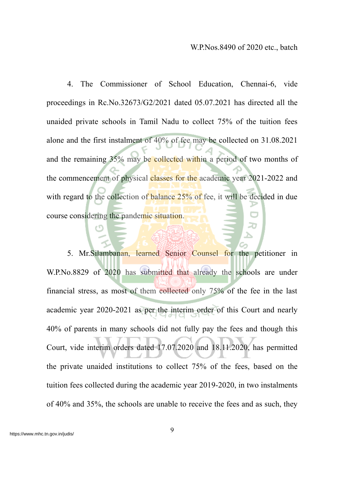4. The Commissioner of School Education, Chennai-6, vide proceedings in Rc.No.32673/G2/2021 dated 05.07.2021 has directed all the unaided private schools in Tamil Nadu to collect 75% of the tuition fees alone and the first instalment of 40% of fee may be collected on 31.08.2021 and the remaining 35% may be collected within a period of two months of the commencement of physical classes for the academic year 2021-2022 and with regard to the collection of balance 25% of fee, it will be decided in due course considering the pandemic situation.

5. Mr.Silambanan, learned Senior Counsel for the petitioner in W.P.No.8829 of 2020 has submitted that already the schools are under financial stress, as most of them collected only 75% of the fee in the last academic year 2020-2021 as per the interim order of this Court and nearly 40% of parents in many schools did not fully pay the fees and though this Court, vide interim orders dated 17.07.2020 and 18.11.2020, has permitted the private unaided institutions to collect 75% of the fees, based on the tuition fees collected during the academic year 2019-2020, in two instalments of 40% and 35%, the schools are unable to receive the fees and as such, they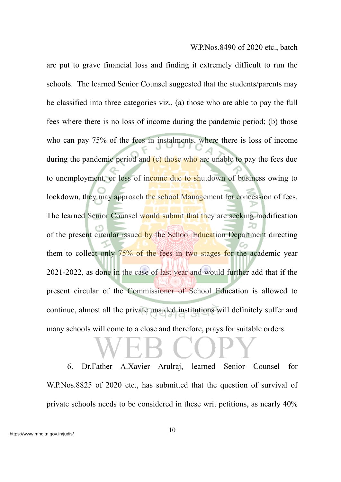are put to grave financial loss and finding it extremely difficult to run the schools. The learned Senior Counsel suggested that the students/parents may be classified into three categories viz., (a) those who are able to pay the full fees where there is no loss of income during the pandemic period; (b) those who can pay 75% of the fees in instalments, where there is loss of income during the pandemic period and (c) those who are unable to pay the fees due to unemployment, or loss of income due to shutdown of business owing to lockdown, they may approach the school Management for concession of fees. The learned Senior Counsel would submit that they are seeking modification of the present circular issued by the School Education Department directing them to collect only 75% of the fees in two stages for the academic year 2021-2022, as done in the case of last year and would further add that if the present circular of the Commissioner of School Education is allowed to continue, almost all the private unaided institutions will definitely suffer and many schools will come to a close and therefore, prays for suitable orders.

6. Dr.Father A.Xavier Arulraj, learned Senior Counsel for W.P.Nos.8825 of 2020 etc., has submitted that the question of survival of private schools needs to be considered in these writ petitions, as nearly 40%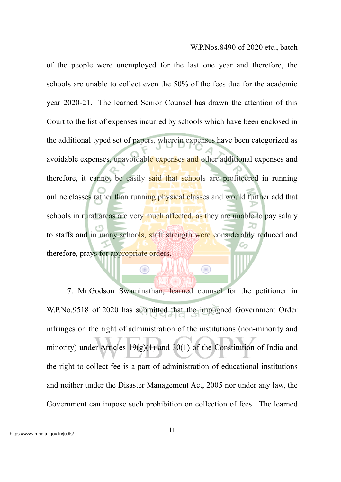of the people were unemployed for the last one year and therefore, the schools are unable to collect even the 50% of the fees due for the academic year 2020-21. The learned Senior Counsel has drawn the attention of this Court to the list of expenses incurred by schools which have been enclosed in the additional typed set of papers, wherein expenses have been categorized as avoidable expenses, unavoidable expenses and other additional expenses and therefore, it cannot be easily said that schools are profiteered in running online classes rather than running physical classes and would further add that schools in rural areas are very much affected, as they are unable to pay salary to staffs and in many schools, staff strength were considerably reduced and therefore, prays for appropriate orders.

7. Mr.Godson Swaminathan, learned counsel for the petitioner in W.P.No.9518 of 2020 has submitted that the impugned Government Order infringes on the right of administration of the institutions (non-minority and minority) under Articles 19(g)(1) and 30(1) of the Constitution of India and the right to collect fee is a part of administration of educational institutions and neither under the Disaster Management Act, 2005 nor under any law, the Government can impose such prohibition on collection of fees. The learned

⊜

 $\bigcirc$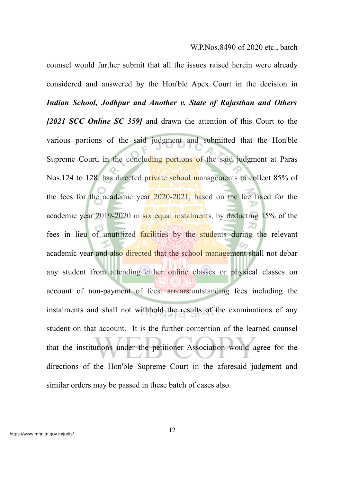counsel would further submit that all the issues raised herein were already considered and answered by the Hon'ble Apex Court in the decision in *Indian School, Jodhpur and Another v. State of Rajasthan and Others [2021 SCC Online SC 359]* and drawn the attention of this Court to the various portions of the said judgment and submitted that the Hon'ble Supreme Court, in the concluding portions of the said judgment at Paras Nos.124 to 128, has directed private school managements to collect 85% of the fees for the academic year 2020-2021, based on the fee fixed for the academic year 2019-2020 in six equal instalments, by deducting 15% of the fees in lieu of unutilized facilities by the students during the relevant academic year and also directed that the school management shall not debar any student from attending either online classes or physical classes on account of non-payment of fees, arrears/outstanding fees including the instalments and shall not withhold the results of the examinations of any student on that account. It is the further contention of the learned counsel that the institutions under the petitioner Association would agree for the directions of the Hon'ble Supreme Court in the aforesaid judgment and similar orders may be passed in these batch of cases also.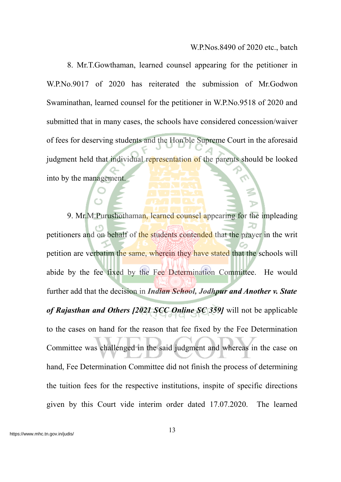8. Mr.T.Gowthaman, learned counsel appearing for the petitioner in W.P.No.9017 of 2020 has reiterated the submission of Mr.Godwon Swaminathan, learned counsel for the petitioner in W.P.No.9518 of 2020 and submitted that in many cases, the schools have considered concession/waiver of fees for deserving students and the Hon'ble Supreme Court in the aforesaid judgment held that individual representation of the parents should be looked into by the management.

9. Mr.M.Purushothaman, learned counsel appearing for the impleading petitioners and on behalf of the students contended that the prayer in the writ petition are verbatim the same, wherein they have stated that the schools will abide by the fee fixed by the Fee Determination Committee. He would further add that the decision in *Indian School, Jodhpur and Another v. State of Rajasthan and Others [2021 SCC Online SC 359]* will not be applicable to the cases on hand for the reason that fee fixed by the Fee Determination Committee was challenged in the said judgment and whereas in the case on hand, Fee Determination Committee did not finish the process of determining the tuition fees for the respective institutions, inspite of specific directions given by this Court vide interim order dated 17.07.2020. The learned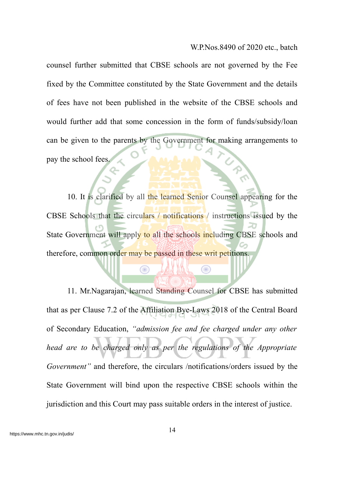counsel further submitted that CBSE schools are not governed by the Fee fixed by the Committee constituted by the State Government and the details of fees have not been published in the website of the CBSE schools and would further add that some concession in the form of funds/subsidy/loan can be given to the parents by the Government for making arrangements to pay the school fees.

10. It is clarified by all the learned Senior Counsel appearing for the CBSE Schools that the circulars / notifications / instructions issued by the State Government will apply to all the schools including CBSE schools and therefore, common order may be passed in these writ petitions.

Œ

⊙

11. Mr.Nagarajan, learned Standing Counsel for CBSE has submitted that as per Clause 7.2 of the Affiliation Bye-Laws 2018 of the Central Board of Secondary Education, *"admission fee and fee charged under any other head are to be charged only as per the regulations of the Appropriate Government"* and therefore, the circulars /notifications/orders issued by the State Government will bind upon the respective CBSE schools within the jurisdiction and this Court may pass suitable orders in the interest of justice.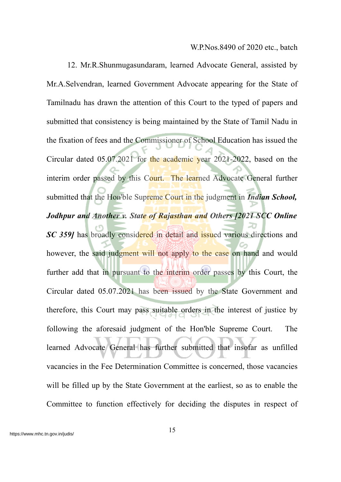12. Mr.R.Shunmugasundaram, learned Advocate General, assisted by Mr.A.Selvendran, learned Government Advocate appearing for the State of Tamilnadu has drawn the attention of this Court to the typed of papers and submitted that consistency is being maintained by the State of Tamil Nadu in the fixation of fees and the Commissioner of School Education has issued the Circular dated 05.07.2021 for the academic year 2021-2022, based on the interim order passed by this Court. The learned Advocate General further submitted that the Hon'ble Supreme Court in the judgment in *Indian School, Jodhpur and Another v. State of Rajasthan and Others [2021 SCC Online SC 359]* has broadly considered in detail and issued various directions and however, the said judgment will not apply to the case on hand and would further add that in pursuant to the interim order passes by this Court, the Circular dated 05.07.2021 has been issued by the State Government and therefore, this Court may pass suitable orders in the interest of justice by following the aforesaid judgment of the Hon'ble Supreme Court. The learned Advocate General has further submitted that insofar as unfilled vacancies in the Fee Determination Committee is concerned, those vacancies will be filled up by the State Government at the earliest, so as to enable the Committee to function effectively for deciding the disputes in respect of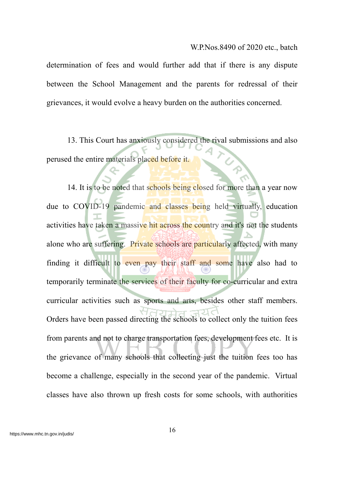determination of fees and would further add that if there is any dispute between the School Management and the parents for redressal of their grievances, it would evolve a heavy burden on the authorities concerned.

13. This Court has anxiously considered the rival submissions and also perused the entire materials placed before it.

14. It is to be noted that schools being closed for more than a year now due to COVID-19 pandemic and classes being held virtually, education activities have taken a massive hit across the country and it's not the students alone who are suffering. Private schools are particularly affected, with many finding it difficult to even pay their staff and some have also had to temporarily terminate the services of their faculty for co-curricular and extra curricular activities such as sports and arts, besides other staff members. Orders have been passed directing the schools to collect only the tuition fees from parents and not to charge transportation fees, development fees etc. It is the grievance of many schools that collecting just the tuition fees too has become a challenge, especially in the second year of the pandemic. Virtual classes have also thrown up fresh costs for some schools, with authorities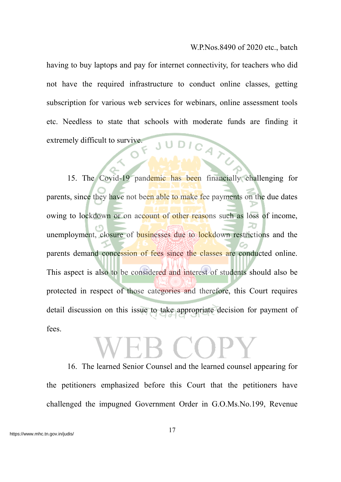having to buy laptops and pay for internet connectivity, for teachers who did not have the required infrastructure to conduct online classes, getting subscription for various web services for webinars, online assessment tools etc. Needless to state that schools with moderate funds are finding it extremely difficult to survive. JUDICA

15. The Covid-19 pandemic has been financially challenging for parents, since they have not been able to make fee payments on the due dates owing to lockdown or on account of other reasons such as loss of income, unemployment, closure of businesses due to lockdown restrictions and the parents demand concession of fees since the classes are conducted online. This aspect is also to be considered and interest of students should also be protected in respect of those categories and therefore, this Court requires detail discussion on this issue to take appropriate decision for payment of fees.

16. The learned Senior Counsel and the learned counsel appearing for the petitioners emphasized before this Court that the petitioners have challenged the impugned Government Order in G.O.Ms.No.199, Revenue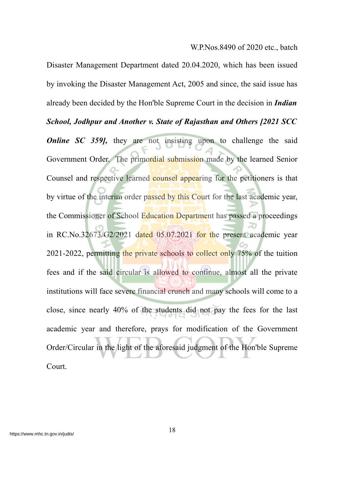Disaster Management Department dated 20.04.2020, which has been issued by invoking the Disaster Management Act, 2005 and since, the said issue has already been decided by the Hon'ble Supreme Court in the decision in *Indian School, Jodhpur and Another v. State of Rajasthan and Others [2021 SCC Online SC* 359, they are not insisting upon to challenge the said Government Order. The primordial submission made by the learned Senior Counsel and respective learned counsel appearing for the petitioners is that by virtue of the interim order passed by this Court for the last academic year, the Commissioner of School Education Department has passed a proceedings in RC.No.32673/G2/2021 dated 05.07.2021 for the present academic year 2021-2022, permitting the private schools to collect only 75% of the tuition fees and if the said circular is allowed to continue, almost all the private institutions will face severe financial crunch and many schools will come to a close, since nearly 40% of the students did not pay the fees for the last academic year and therefore, prays for modification of the Government Order/Circular in the light of the aforesaid judgment of the Hon'ble Supreme Court.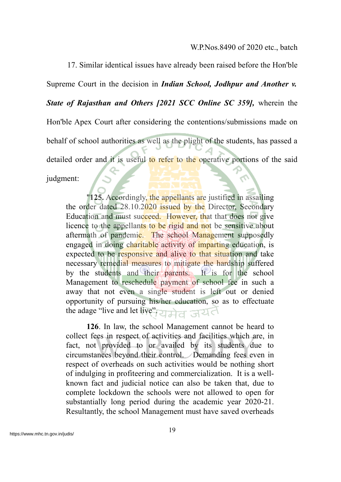17. Similar identical issues have already been raised before the Hon'ble Supreme Court in the decision in *Indian School, Jodhpur and Another v. State of Rajasthan and Others [2021 SCC Online SC 359],* wherein the Hon'ble Apex Court after considering the contentions/submissions made on behalf of school authorities as well as the plight of the students, has passed a detailed order and it is useful to refer to the operative portions of the said judgment:

"**125.** Accordingly, the appellants are justified in assailing the order dated 28.10.2020 issued by the Director, Secondary Education and must succeed. However, that that does not give licence to the appellants to be rigid and not be sensitive about aftermath of pandemic. The school Management supposedly engaged in doing charitable activity of imparting education, is expected to be responsive and alive to that situation and take necessary remedial measures to mitigate the hardship suffered by the students and their parents. It is for the school Management to reschedule payment of school fee in such a away that not even a single student is left out or denied opportunity of pursuing his/her education, so as to effectuate the adage "live and let live". 21 H G

**126**. In law, the school Management cannot be heard to collect fees in respect of activities and facilities which are, in fact, not provided to or availed by its students due to circumstances beyond their control. Demanding fees even in respect of overheads on such activities would be nothing short of indulging in profiteering and commercialization. It is a wellknown fact and judicial notice can also be taken that, due to complete lockdown the schools were not allowed to open for substantially long period during the academic year 2020-21. Resultantly, the school Management must have saved overheads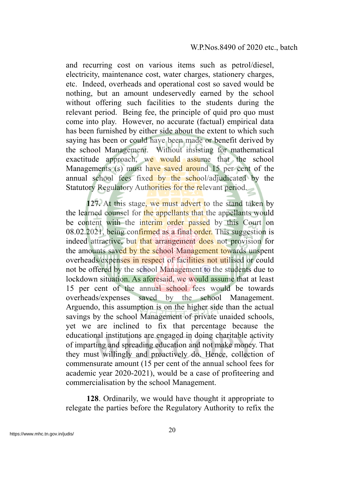and recurring cost on various items such as petrol/diesel, electricity, maintenance cost, water charges, stationery charges, etc. Indeed, overheads and operational cost so saved would be nothing, but an amount undeservedly earned by the school without offering such facilities to the students during the relevant period. Being fee, the principle of quid pro quo must come into play. However, no accurate (factual) empirical data has been furnished by either side about the extent to which such saying has been or could have been made or benefit derived by the school Management. Without insisting for mathematical exactitude approach, we would assume that the school Managements (s) must have saved around 15 per cent of the annual school fees fixed by the school/adjudicated by the Statutory Regulatory Authorities for the relevant period.

**127.** At this stage, we must advert to the stand taken by the learned counsel for the appellants that the appellants would be content with the interim order passed by this Court on 08.02.2021, being confirmed as a final order. This suggestion is indeed attractive, but that arrangement does not provision for the amounts saved by the school Management towards unspent overheads/expenses in respect of facilities not utilised or could not be offered by the school Management to the students due to lockdown situation. As aforesaid, we would assume that at least 15 per cent of the annual school fees would be towards overheads/expenses saved by the school Management. Arguendo, this assumption is on the higher side than the actual savings by the school Management of private unaided schools, yet we are inclined to fix that percentage because the educational institutions are engaged in doing charitable activity of imparting and spreading education and not make money. That they must willingly and proactively do. Hence, collection of commensurate amount (15 per cent of the annual school fees for academic year 2020-2021), would be a case of profiteering and commercialisation by the school Management.

**128**. Ordinarily, we would have thought it appropriate to relegate the parties before the Regulatory Authority to refix the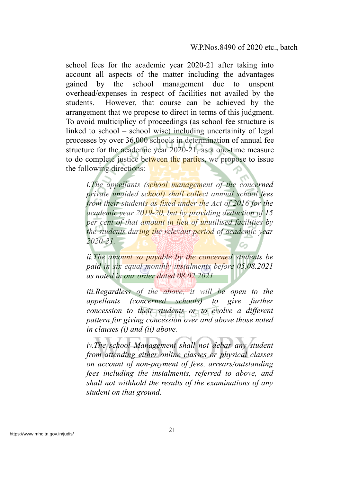school fees for the academic year 2020-21 after taking into account all aspects of the matter including the advantages gained by the school management due to unspent overhead/expenses in respect of facilities not availed by the students. However, that course can be achieved by the arrangement that we propose to direct in terms of this judgment. To avoid multiciplicy of proceedings (as school fee structure is linked to school – school wise) including uncertainity of legal processes by over 36,000 schools in determination of annual fee structure for the academic year 2020-21, as a one-time measure to do complete justice between the parties, we propose to issue the following directions:

*i.The appellants (school management of the concerned private unaided school) shall collect annual school fees from their students as fixed under the Act of 2016 for the academic year 2019-20, but by providing deduction of 15 per cent of that amount in lieu of unutilised facilities by the students during the relevant period of academic year 2020-21.*

*ii.The amount so payable by the concerned students be paid in six equal monthly instalments before 05.08.2021 as noted in our order dated 08.02.2021.*

*iii.Regardless of the above, it will be open to the appellants (concerned schools) to give further concession to their students or to evolve a different pattern for giving concession over and above those noted in clauses (i) and (ii) above.*

*iv.The school Management shall not debar any student from attending either online classes or physical classes on account of non-payment of fees, arrears/outstanding fees including the instalments, referred to above, and shall not withhold the results of the examinations of any student on that ground.*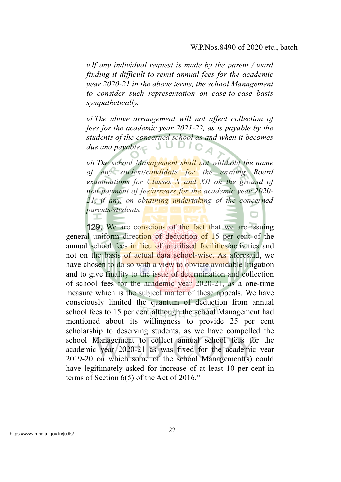*v.If any individual request is made by the parent / ward finding it difficult to remit annual fees for the academic year 2020-21 in the above terms, the school Management to consider such representation on case-to-case basis sympathetically.*

*vi.The above arrangement will not affect collection of fees for the academic year 2021-22, as is payable by the students of the concerned school as and when it becomes due and payable.*

*vii.The school Management shall not withhold the name of any student/candidate for the ensuing Board examinations for Classes X and XII on the ground of non-payment of fee/arrears for the academic year 2020- 21, if any, on obtaining undertaking of the concerned parents/students.*

129. We are conscious of the fact that we are issuing general uniform direction of deduction of 15 per cent of the annual school fees in lieu of unutilised facilities/activities and not on the basis of actual data school-wise. As aforesaid, we have chosen to do so with a view to obviate avoidable litigation and to give finality to the issue of determination and collection of school fees for the academic year 2020-21, as a one-time measure which is the subject matter of these appeals. We have consciously limited the quantum of deduction from annual school fees to 15 per cent although the school Management had mentioned about its willingness to provide 25 per cent scholarship to deserving students, as we have compelled the school Management to collect annual school fees for the academic year 2020-21 as was fixed for the academic year 2019-20 on which some of the school Management(s) could have legitimately asked for increase of at least 10 per cent in terms of Section 6(5) of the Act of 2016."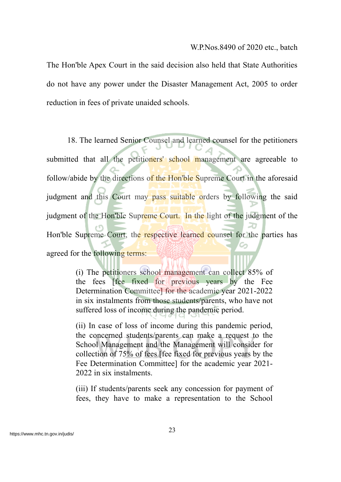The Hon'ble Apex Court in the said decision also held that State Authorities do not have any power under the Disaster Management Act, 2005 to order reduction in fees of private unaided schools.

18. The learned Senior Counsel and learned counsel for the petitioners submitted that all the petitioners' school management are agreeable to follow/abide by the directions of the Hon'ble Supreme Court in the aforesaid judgment and this Court may pass suitable orders by following the said judgment of the Hon'ble Supreme Court. In the light of the judgment of the Hon'ble Supreme Court, the respective learned counsel for the parties has agreed for the following terms:

> (i) The petitioners school management can collect 85% of the fees [fee fixed for previous years by the Fee Determination Committee] for the academic year 2021-2022 in six instalments from those students/parents, who have not suffered loss of income during the pandemic period.

> (ii) In case of loss of income during this pandemic period, the concerned students/parents can make a request to the School Management and the Management will consider for collection of 75% of fees [fee fixed for previous years by the Fee Determination Committee] for the academic year 2021- 2022 in six instalments.

> (iii) If students/parents seek any concession for payment of fees, they have to make a representation to the School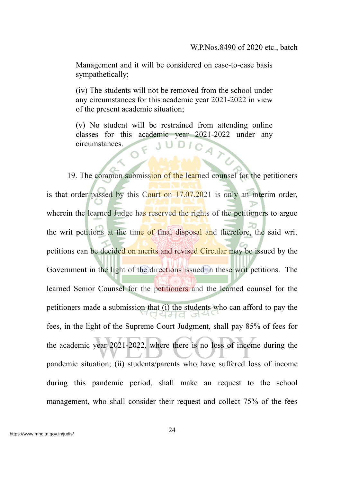Management and it will be considered on case-to-case basis sympathetically;

(iv) The students will not be removed from the school under any circumstances for this academic year 2021-2022 in view of the present academic situation;

(v) No student will be restrained from attending online classes for this academic year 2021-2022 under any circumstances.

19. The common submission of the learned counsel for the petitioners is that order passed by this Court on 17.07.2021 is only an interim order, wherein the learned Judge has reserved the rights of the petitioners to argue the writ petitions at the time of final disposal and therefore, the said writ petitions can be decided on merits and revised Circular may be issued by the Government in the light of the directions issued in these writ petitions. The learned Senior Counsel for the petitioners and the learned counsel for the petitioners made a submission that (i) the students who can afford to pay the l JH di fees, in the light of the Supreme Court Judgment, shall pay 85% of fees for the academic year 2021-2022, where there is no loss of income during the pandemic situation; (ii) students/parents who have suffered loss of income during this pandemic period, shall make an request to the school management, who shall consider their request and collect 75% of the fees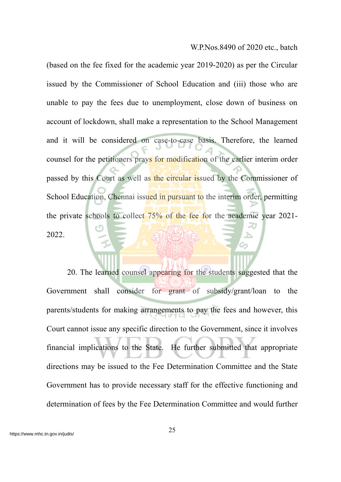(based on the fee fixed for the academic year 2019-2020) as per the Circular issued by the Commissioner of School Education and (iii) those who are unable to pay the fees due to unemployment, close down of business on account of lockdown, shall make a representation to the School Management and it will be considered on case-to-case basis. Therefore, the learned counsel for the petitioners prays for modification of the earlier interim order passed by this Court as well as the circular issued by the Commissioner of School Education, Chennai issued in pursuant to the interim order, permitting the private schools to collect 75% of the fee for the academic year 2021- 2022.

20. The learned counsel appearing for the students suggested that the Government shall consider for grant of subsidy/grant/loan to the parents/students for making arrangements to pay the fees and however, this Court cannot issue any specific direction to the Government, since it involves financial implications to the State. He further submitted that appropriate directions may be issued to the Fee Determination Committee and the State Government has to provide necessary staff for the effective functioning and determination of fees by the Fee Determination Committee and would further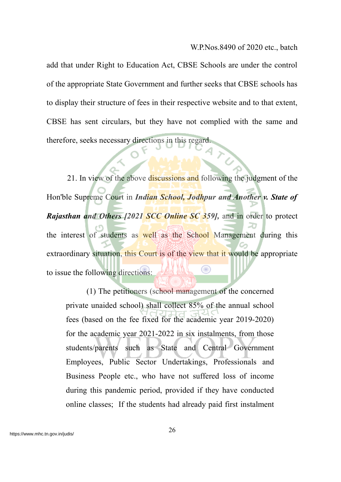add that under Right to Education Act, CBSE Schools are under the control of the appropriate State Government and further seeks that CBSE schools has to display their structure of fees in their respective website and to that extent, CBSE has sent circulars, but they have not complied with the same and therefore, seeks necessary directions in this regard

21. In view of the above discussions and following the judgment of the Hon'ble Supreme Court in *Indian School, Jodhpur and Another v. State of Rajasthan and Others [2021 SCC Online SC 359],* and in order to protect the interest of students as well as the School Management during this extraordinary situation, this Court is of the view that it would be appropriate Œ to issue the following directions:

(1) The petitioners (school management of the concerned private unaided school) shall collect 85% of the annual school fees (based on the fee fixed for the academic year 2019-2020) for the academic year 2021-2022 in six instalments, from those students/parents such as State and Central Government Employees, Public Sector Undertakings, Professionals and Business People etc., who have not suffered loss of income during this pandemic period, provided if they have conducted online classes; If the students had already paid first instalment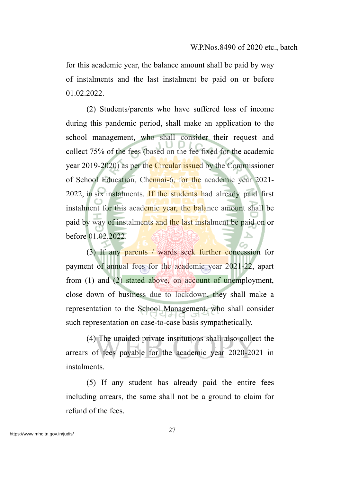for this academic year, the balance amount shall be paid by way of instalments and the last instalment be paid on or before 01.02.2022

(2) Students/parents who have suffered loss of income during this pandemic period, shall make an application to the school management, who shall consider their request and collect 75% of the fees (based on the fee fixed for the academic year 2019-2020) as per the Circular issued by the Commissioner of School Education, Chennai-6, for the academic year 2021- 2022, in six instalments. If the students had already paid first instalment for this academic year, the balance amount shall be paid by way of instalments and the last instalment be paid on or before 01.02.2022.

(3) If any parents / wards seek further concession for payment of annual fees for the academic year 2021-22, apart from (1) and (2) stated above, on account of unemployment, close down of business due to lockdown, they shall make a representation to the School Management, who shall consider such representation on case-to-case basis sympathetically.

(4) The unaided private institutions shall also collect the arrears of fees payable for the academic year 2020-2021 in instalments.

(5) If any student has already paid the entire fees including arrears, the same shall not be a ground to claim for refund of the fees.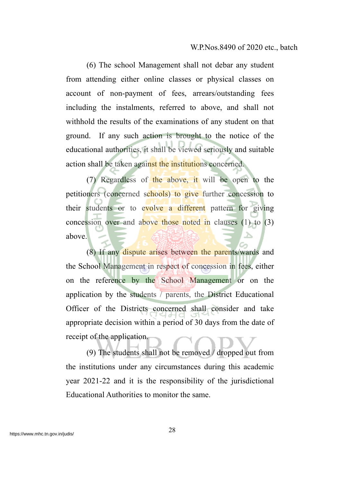(6) The school Management shall not debar any student from attending either online classes or physical classes on account of non-payment of fees, arrears/outstanding fees including the instalments, referred to above, and shall not withhold the results of the examinations of any student on that ground. If any such action is brought to the notice of the educational authorities, it shall be viewed seriously and suitable action shall be taken against the institutions concerned.

(7) Regardless of the above, it will be open to the petitioners (concerned schools) to give further concession to their students or to evolve a different pattern for giving concession over and above those noted in clauses (1) to (3) above.

(8) If any dispute arises between the parents/wards and the School Management in respect of concession in fees, either on the reference by the School Management or on the application by the students / parents, the District Educational Officer of the Districts concerned shall consider and take appropriate decision within a period of 30 days from the date of receipt of the application.

(9) The students shall not be removed / dropped out from the institutions under any circumstances during this academic year 2021-22 and it is the responsibility of the jurisdictional Educational Authorities to monitor the same.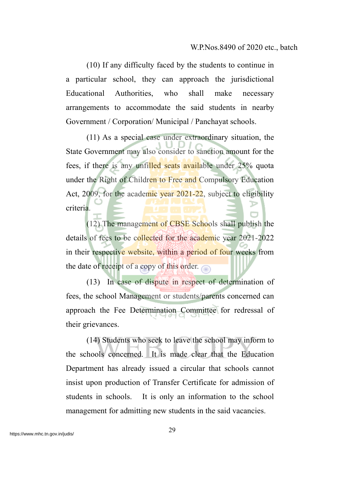(10) If any difficulty faced by the students to continue in a particular school, they can approach the jurisdictional Educational Authorities, who shall make necessary arrangements to accommodate the said students in nearby Government / Corporation/ Municipal / Panchayat schools.

(11) As a special case under extraordinary situation, the State Government may also consider to sanction amount for the fees, if there is any unfilled seats available under 25% quota under the Right of Children to Free and Compulsory Education Act, 2009, for the academic year 2021-22, subject to eligibility criteria.

(12) The management of CBSE Schools shall publish the details of fees to be collected for the academic year 2021-2022 in their respective website, within a period of four weeks from the date of receipt of a copy of this order.

(13) In case of dispute in respect of determination of fees, the school Management or students/parents concerned can approach the Fee Determination Committee for redressal of their grievances.

(14) Students who seek to leave the school may inform to the schools concerned. It is made clear that the Education Department has already issued a circular that schools cannot insist upon production of Transfer Certificate for admission of students in schools. It is only an information to the school management for admitting new students in the said vacancies.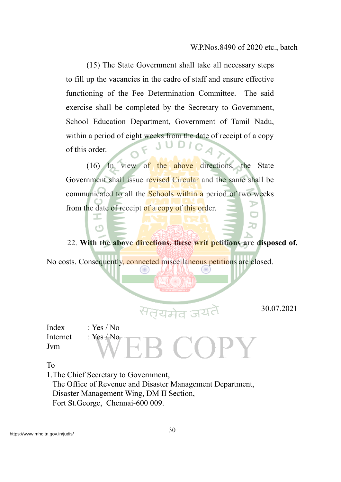(15) The State Government shall take all necessary steps to fill up the vacancies in the cadre of staff and ensure effective functioning of the Fee Determination Committee. The said exercise shall be completed by the Secretary to Government, School Education Department, Government of Tamil Nadu, within a period of eight weeks from the date of receipt of a copy of this order.

(16) In view of the above directions, the State Government shall issue revised Circular and the same shall be communicated to all the **Schools within a** period of two weeks from the date of receipt of a copy of this order.

22. **With the above directions, these writ petitions are disposed of.**

No costs. Consequently, connected miscellaneous petitions are closed.

30.07.2021

20

Index : Yes / No Internet : Yes / No Jvm

To

1.The Chief Secretary to Government,

I ඏ

 The Office of Revenue and Disaster Management Department, Disaster Management Wing, DM II Section, Fort St.George, Chennai-600 009.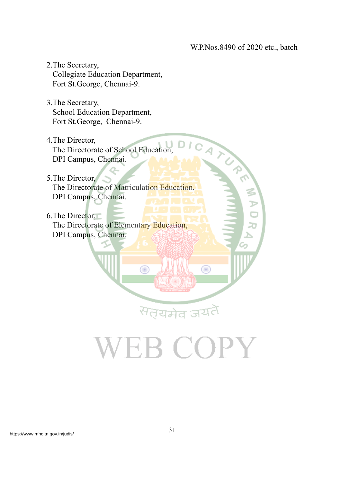DICAT

◉

- 2.The Secretary, Collegiate Education Department, Fort St.George, Chennai-9.
- 3.The Secretary, School Education Department, Fort St.George, Chennai-9.
- 4.The Director, The Directorate of School Education, DPI Campus, Chennai.
- 5.The Director,

 The Directorate of Matriculation Education, DPI Campus, Chennai.

6.The Director, The Directorate of Elementary Education, DPI Campus, Chennai.

Œ

<sup>स</sup>त्यमेव जय

EB COPY